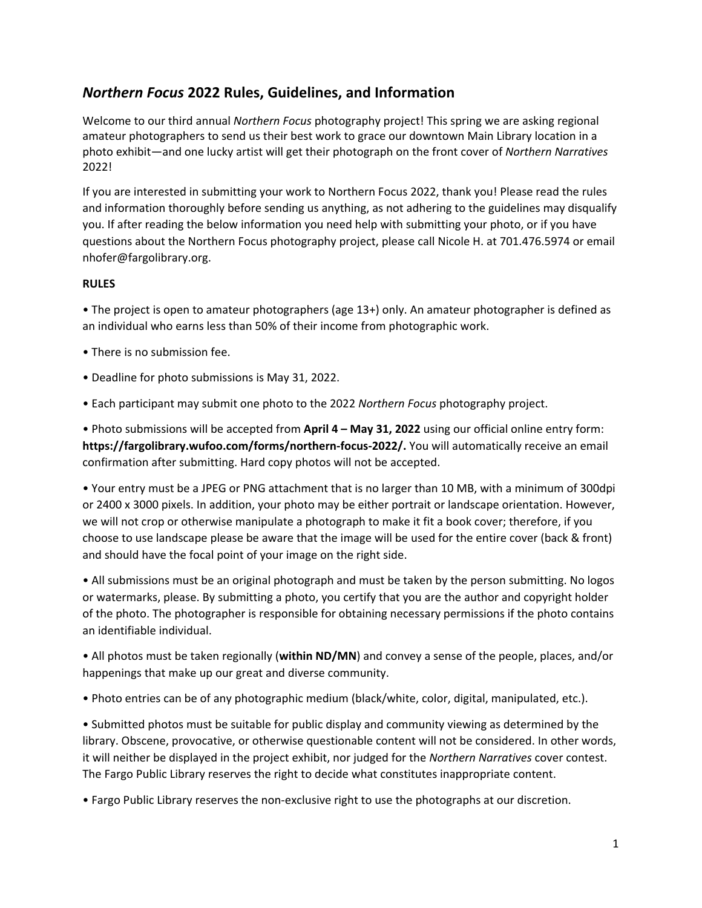## *Northern Focus* **2022 Rules, Guidelines, and Information**

Welcome to our third annual *Northern Focus* photography project! This spring we are asking regional amateur photographers to send us their best work to grace our downtown Main Library location in a photo exhibit—and one lucky artist will get their photograph on the front cover of *Northern Narratives*  2022!

If you are interested in submitting your work to Northern Focus 2022, thank you! Please read the rules and information thoroughly before sending us anything, as not adhering to the guidelines may disqualify you. If after reading the below information you need help with submitting your photo, or if you have questions about the Northern Focus photography project, please call Nicole H. at 701.476.5974 or email nhofer@fargolibrary.org.

## **RULES**

• The project is open to amateur photographers (age 13+) only. An amateur photographer is defined as an individual who earns less than 50% of their income from photographic work.

- There is no submission fee.
- Deadline for photo submissions is May 31, 2022.
- Each participant may submit one photo to the 2022 *Northern Focus* photography project.

• Photo submissions will be accepted from **April 4 – May 31, 2022** using our official online entry form: **https://fargolibrary.wufoo.com/forms/northern-focus-2022/.** You will automatically receive an email confirmation after submitting. Hard copy photos will not be accepted.

• Your entry must be a JPEG or PNG attachment that is no larger than 10 MB, with a minimum of 300dpi or 2400 x 3000 pixels. In addition, your photo may be either portrait or landscape orientation. However, we will not crop or otherwise manipulate a photograph to make it fit a book cover; therefore, if you choose to use landscape please be aware that the image will be used for the entire cover (back & front) and should have the focal point of your image on the right side.

• All submissions must be an original photograph and must be taken by the person submitting. No logos or watermarks, please. By submitting a photo, you certify that you are the author and copyright holder of the photo. The photographer is responsible for obtaining necessary permissions if the photo contains an identifiable individual.

• All photos must be taken regionally (**within ND/MN**) and convey a sense of the people, places, and/or happenings that make up our great and diverse community.

• Photo entries can be of any photographic medium (black/white, color, digital, manipulated, etc.).

• Submitted photos must be suitable for public display and community viewing as determined by the library. Obscene, provocative, or otherwise questionable content will not be considered. In other words, it will neither be displayed in the project exhibit, nor judged for the *Northern Narratives* cover contest. The Fargo Public Library reserves the right to decide what constitutes inappropriate content.

• Fargo Public Library reserves the non-exclusive right to use the photographs at our discretion.